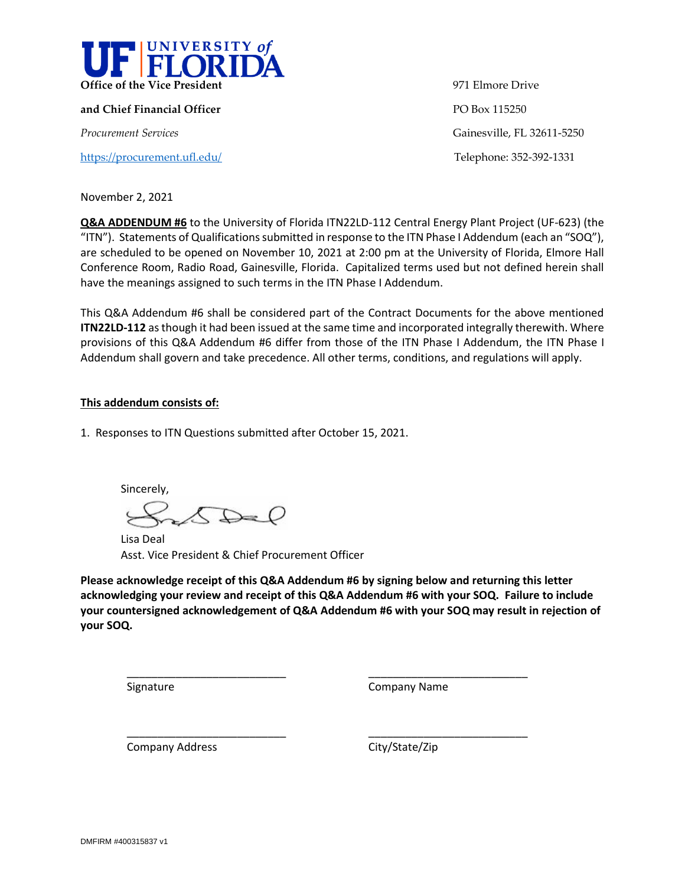

**and Chief Financial Officer PO Box 115250** 

<https://procurement.ufl.edu/>Telephone: 352-392-1331

**Office of the Vice President** 971 Elmore Drive *Procurement Services* Gainesville, FL 32611-5250

November 2, 2021

**Q&A ADDENDUM #6** to the University of Florida ITN22LD-112 Central Energy Plant Project (UF-623) (the "ITN"). Statements of Qualifications submitted in response to the ITN Phase I Addendum (each an "SOQ"), are scheduled to be opened on November 10, 2021 at 2:00 pm at the University of Florida, Elmore Hall Conference Room, Radio Road, Gainesville, Florida. Capitalized terms used but not defined herein shall have the meanings assigned to such terms in the ITN Phase I Addendum.

This Q&A Addendum #6 shall be considered part of the Contract Documents for the above mentioned **ITN22LD-112** as though it had been issued at the same time and incorporated integrally therewith. Where provisions of this Q&A Addendum #6 differ from those of the ITN Phase I Addendum, the ITN Phase I Addendum shall govern and take precedence. All other terms, conditions, and regulations will apply.

## **This addendum consists of:**

1. Responses to ITN Questions submitted after October 15, 2021.

Sincerely,  $\mathcal{L}$ 

\_\_\_\_\_\_\_\_\_\_\_\_\_\_\_\_\_\_\_\_\_\_\_\_\_\_

\_\_\_\_\_\_\_\_\_\_\_\_\_\_\_\_\_\_\_\_\_\_\_\_\_\_

Lisa Deal Asst. Vice President & Chief Procurement Officer

**Please acknowledge receipt of this Q&A Addendum #6 by signing below and returning this letter acknowledging your review and receipt of this Q&A Addendum #6 with your SOQ. Failure to include your countersigned acknowledgement of Q&A Addendum #6 with your SOQ may result in rejection of your SOQ.**

Signature

Company Name

\_\_\_\_\_\_\_\_\_\_\_\_\_\_\_\_\_\_\_\_\_\_\_\_\_\_

\_\_\_\_\_\_\_\_\_\_\_\_\_\_\_\_\_\_\_\_\_\_\_\_\_\_

Company Address

City/State/Zip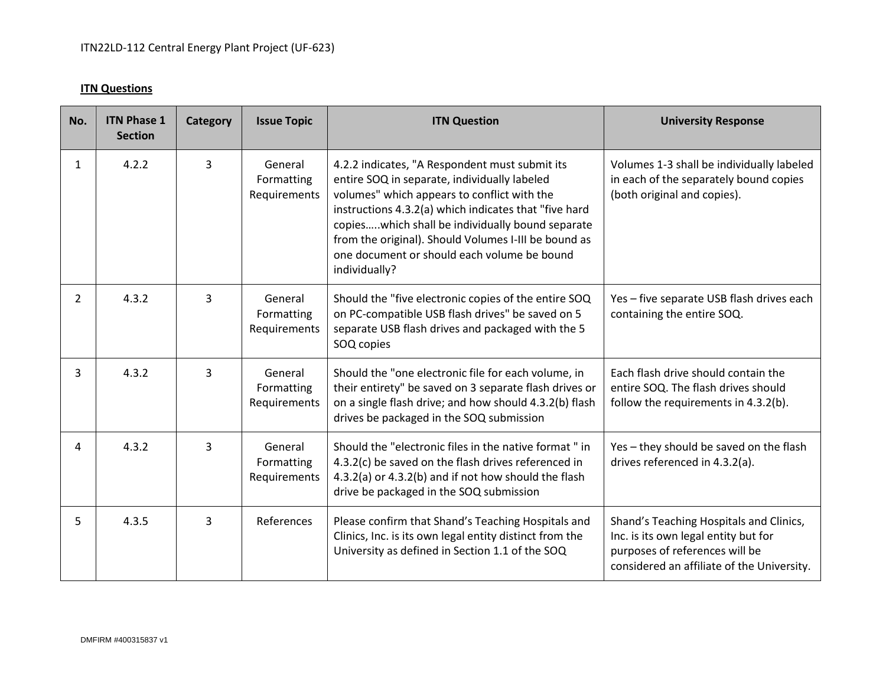## **ITN Questions**

| No.            | <b>ITN Phase 1</b><br><b>Section</b> | Category | <b>Issue Topic</b>                    | <b>ITN Question</b>                                                                                                                                                                                                                                                                                                                                                                | <b>University Response</b>                                                                                                                                      |
|----------------|--------------------------------------|----------|---------------------------------------|------------------------------------------------------------------------------------------------------------------------------------------------------------------------------------------------------------------------------------------------------------------------------------------------------------------------------------------------------------------------------------|-----------------------------------------------------------------------------------------------------------------------------------------------------------------|
| 1              | 4.2.2                                | 3        | General<br>Formatting<br>Requirements | 4.2.2 indicates, "A Respondent must submit its<br>entire SOQ in separate, individually labeled<br>volumes" which appears to conflict with the<br>instructions 4.3.2(a) which indicates that "five hard<br>copieswhich shall be individually bound separate<br>from the original). Should Volumes I-III be bound as<br>one document or should each volume be bound<br>individually? | Volumes 1-3 shall be individually labeled<br>in each of the separately bound copies<br>(both original and copies).                                              |
| $\overline{2}$ | 4.3.2                                | 3        | General<br>Formatting<br>Requirements | Should the "five electronic copies of the entire SOQ<br>on PC-compatible USB flash drives" be saved on 5<br>separate USB flash drives and packaged with the 5<br>SOQ copies                                                                                                                                                                                                        | Yes - five separate USB flash drives each<br>containing the entire SOQ.                                                                                         |
| 3              | 4.3.2                                | 3        | General<br>Formatting<br>Requirements | Should the "one electronic file for each volume, in<br>their entirety" be saved on 3 separate flash drives or<br>on a single flash drive; and how should 4.3.2(b) flash<br>drives be packaged in the SOQ submission                                                                                                                                                                | Each flash drive should contain the<br>entire SOQ. The flash drives should<br>follow the requirements in 4.3.2(b).                                              |
| 4              | 4.3.2                                | 3        | General<br>Formatting<br>Requirements | Should the "electronic files in the native format" in<br>4.3.2(c) be saved on the flash drives referenced in<br>4.3.2(a) or 4.3.2(b) and if not how should the flash<br>drive be packaged in the SOQ submission                                                                                                                                                                    | Yes - they should be saved on the flash<br>drives referenced in 4.3.2(a).                                                                                       |
| 5              | 4.3.5                                | 3        | References                            | Please confirm that Shand's Teaching Hospitals and<br>Clinics, Inc. is its own legal entity distinct from the<br>University as defined in Section 1.1 of the SOQ                                                                                                                                                                                                                   | Shand's Teaching Hospitals and Clinics,<br>Inc. is its own legal entity but for<br>purposes of references will be<br>considered an affiliate of the University. |